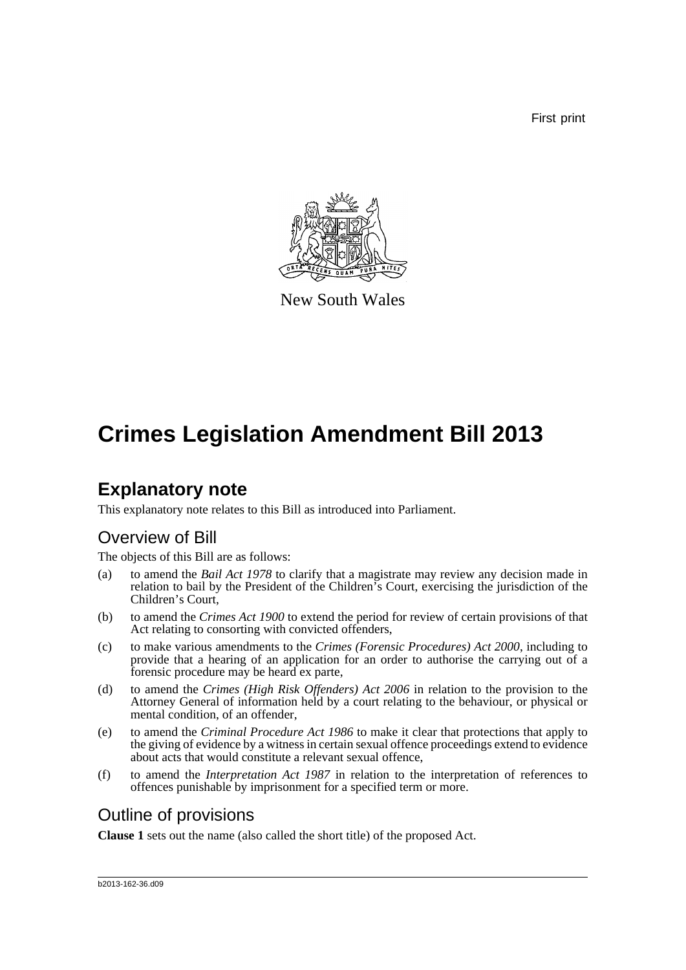First print



New South Wales

# **Crimes Legislation Amendment Bill 2013**

## **Explanatory note**

This explanatory note relates to this Bill as introduced into Parliament.

### Overview of Bill

The objects of this Bill are as follows:

- (a) to amend the *Bail Act 1978* to clarify that a magistrate may review any decision made in relation to bail by the President of the Children's Court, exercising the jurisdiction of the Children's Court,
- (b) to amend the *Crimes Act 1900* to extend the period for review of certain provisions of that Act relating to consorting with convicted offenders,
- (c) to make various amendments to the *Crimes (Forensic Procedures) Act 2000*, including to provide that a hearing of an application for an order to authorise the carrying out of a forensic procedure may be heard ex parte,
- (d) to amend the *Crimes (High Risk Offenders) Act 2006* in relation to the provision to the Attorney General of information held by a court relating to the behaviour, or physical or mental condition, of an offender,
- (e) to amend the *Criminal Procedure Act 1986* to make it clear that protections that apply to the giving of evidence by a witness in certain sexual offence proceedings extend to evidence about acts that would constitute a relevant sexual offence,
- (f) to amend the *Interpretation Act 1987* in relation to the interpretation of references to offences punishable by imprisonment for a specified term or more.

## Outline of provisions

**Clause 1** sets out the name (also called the short title) of the proposed Act.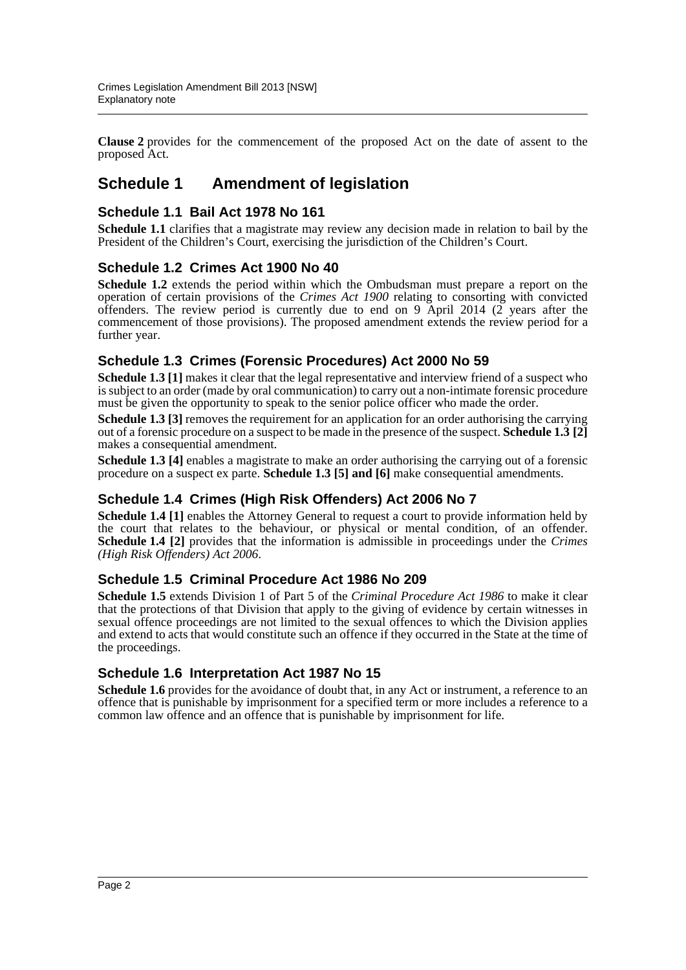**Clause 2** provides for the commencement of the proposed Act on the date of assent to the proposed Act.

### **Schedule 1 Amendment of legislation**

#### **Schedule 1.1 Bail Act 1978 No 161**

**Schedule 1.1** clarifies that a magistrate may review any decision made in relation to bail by the President of the Children's Court, exercising the jurisdiction of the Children's Court.

#### **Schedule 1.2 Crimes Act 1900 No 40**

**Schedule 1.2** extends the period within which the Ombudsman must prepare a report on the operation of certain provisions of the *Crimes Act 1900* relating to consorting with convicted offenders. The review period is currently due to end on 9 April 2014 ( $\frac{8}{2}$  years after the commencement of those provisions). The proposed amendment extends the review period for a further year.

#### **Schedule 1.3 Crimes (Forensic Procedures) Act 2000 No 59**

**Schedule 1.3** [1] makes it clear that the legal representative and interview friend of a suspect who is subject to an order (made by oral communication) to carry out a non-intimate forensic procedure must be given the opportunity to speak to the senior police officer who made the order.

**Schedule 1.3** [3] removes the requirement for an application for an order authorising the carrying out of a forensic procedure on a suspect to be made in the presence of the suspect. **Schedule 1.3 [2]** makes a consequential amendment.

**Schedule 1.3** [4] enables a magistrate to make an order authorising the carrying out of a forensic procedure on a suspect ex parte. **Schedule 1.3 [5] and [6]** make consequential amendments.

#### **Schedule 1.4 Crimes (High Risk Offenders) Act 2006 No 7**

**Schedule 1.4 [1]** enables the Attorney General to request a court to provide information held by the court that relates to the behaviour, or physical or mental condition, of an offender. **Schedule 1.4 [2]** provides that the information is admissible in proceedings under the *Crimes (High Risk Offenders) Act 2006*.

#### **Schedule 1.5 Criminal Procedure Act 1986 No 209**

**Schedule 1.5** extends Division 1 of Part 5 of the *Criminal Procedure Act 1986* to make it clear that the protections of that Division that apply to the giving of evidence by certain witnesses in sexual offence proceedings are not limited to the sexual offences to which the Division applies and extend to acts that would constitute such an offence if they occurred in the State at the time of the proceedings.

#### **Schedule 1.6 Interpretation Act 1987 No 15**

Schedule 1.6 provides for the avoidance of doubt that, in any Act or instrument, a reference to an offence that is punishable by imprisonment for a specified term or more includes a reference to a common law offence and an offence that is punishable by imprisonment for life.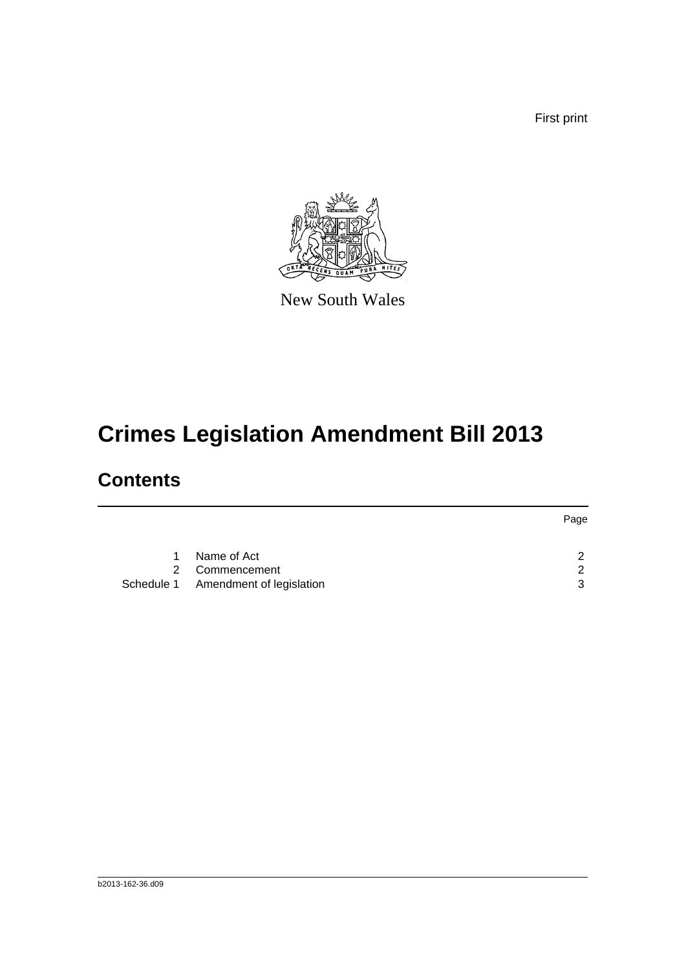First print



New South Wales

# **Crimes Legislation Amendment Bill 2013**

## **Contents**

|           |                                     | Page          |
|-----------|-------------------------------------|---------------|
|           |                                     |               |
| $1 \quad$ | Name of Act                         | $\mathcal{D}$ |
|           | 2 Commencement                      | $\mathcal{D}$ |
|           | Schedule 1 Amendment of legislation | 3             |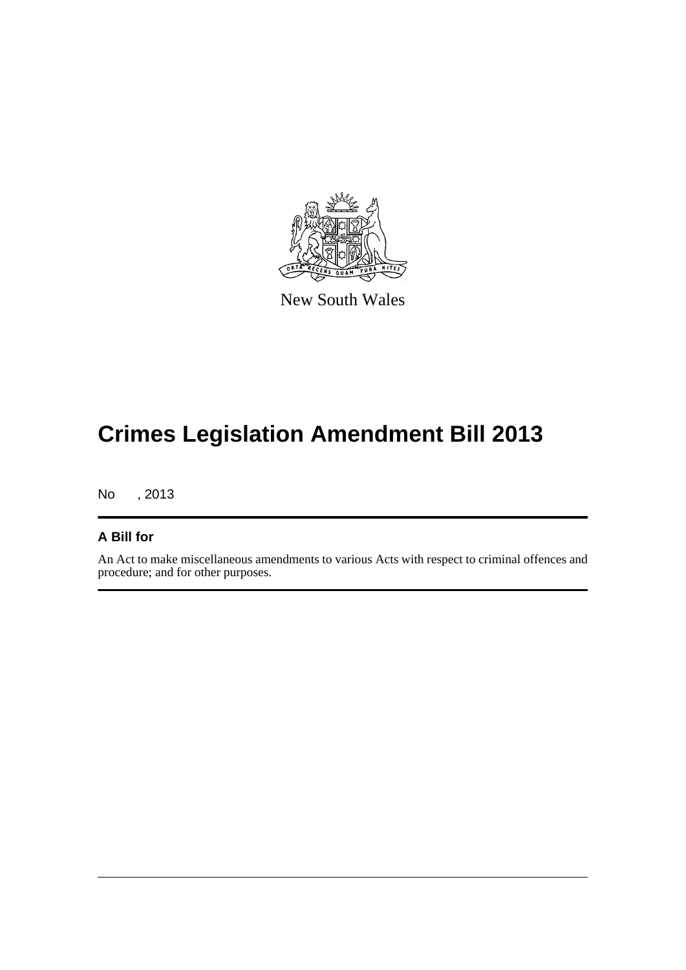

New South Wales

# **Crimes Legislation Amendment Bill 2013**

No , 2013

#### **A Bill for**

An Act to make miscellaneous amendments to various Acts with respect to criminal offences and procedure; and for other purposes.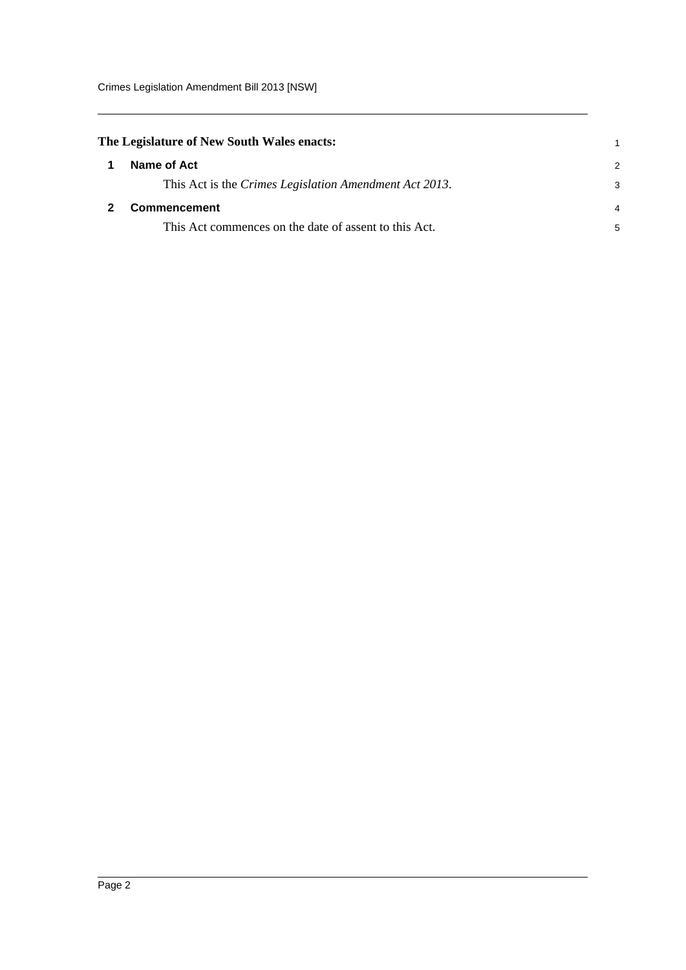<span id="page-4-1"></span><span id="page-4-0"></span>

| The Legislature of New South Wales enacts:             | 1             |
|--------------------------------------------------------|---------------|
| Name of Act                                            | $\mathcal{P}$ |
| This Act is the Crimes Legislation Amendment Act 2013. | 3             |
| Commencement                                           |               |
| This Act commences on the date of assent to this Act.  | 5             |
|                                                        |               |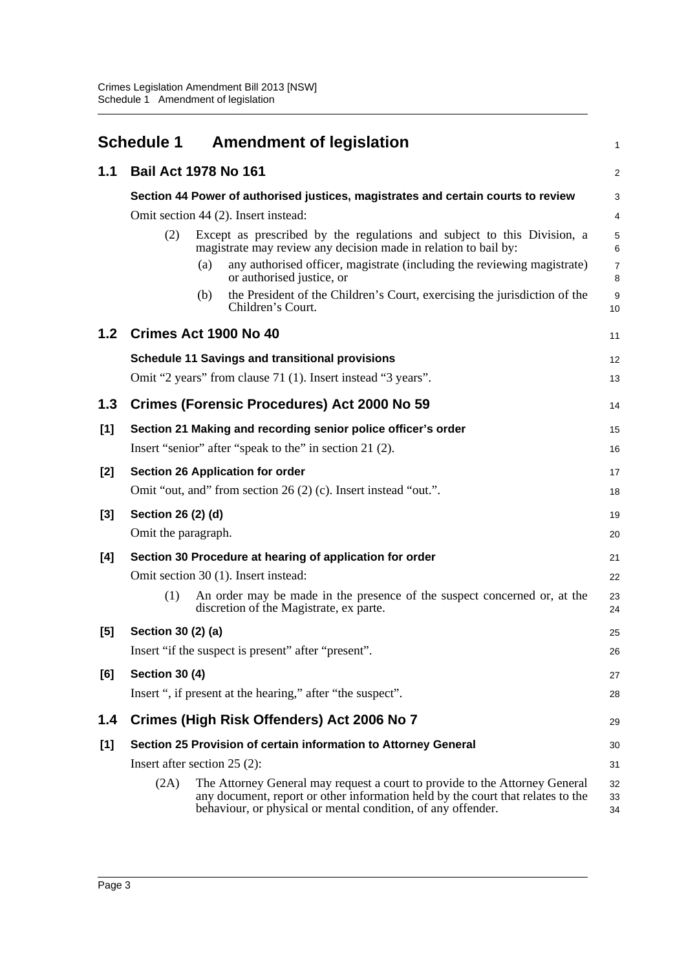<span id="page-5-0"></span>

|                  | <b>Schedule 1</b><br><b>Amendment of legislation</b>                                                                                                                                                                                   | $\mathbf{1}$           |
|------------------|----------------------------------------------------------------------------------------------------------------------------------------------------------------------------------------------------------------------------------------|------------------------|
| 1.1              | <b>Bail Act 1978 No 161</b>                                                                                                                                                                                                            | $\overline{2}$         |
|                  | Section 44 Power of authorised justices, magistrates and certain courts to review                                                                                                                                                      | 3                      |
|                  | Omit section 44 (2). Insert instead:                                                                                                                                                                                                   | $\overline{4}$         |
|                  | Except as prescribed by the regulations and subject to this Division, a<br>(2)<br>magistrate may review any decision made in relation to bail by:                                                                                      | $\sqrt{5}$<br>6        |
|                  | any authorised officer, magistrate (including the reviewing magistrate)<br>(a)<br>or authorised justice, or                                                                                                                            | $\overline{7}$<br>8    |
|                  | the President of the Children's Court, exercising the jurisdiction of the<br>(b)<br>Children's Court.                                                                                                                                  | $\boldsymbol{9}$<br>10 |
| 1.2 <sub>1</sub> | Crimes Act 1900 No 40                                                                                                                                                                                                                  | 11                     |
|                  | <b>Schedule 11 Savings and transitional provisions</b>                                                                                                                                                                                 | 12                     |
|                  | Omit "2 years" from clause 71 (1). Insert instead "3 years".                                                                                                                                                                           | 13                     |
| 1.3              | <b>Crimes (Forensic Procedures) Act 2000 No 59</b>                                                                                                                                                                                     | 14                     |
| [1]              | Section 21 Making and recording senior police officer's order                                                                                                                                                                          | 15                     |
|                  | Insert "senior" after "speak to the" in section 21 (2).                                                                                                                                                                                | 16                     |
| [2]              | Section 26 Application for order                                                                                                                                                                                                       | 17                     |
|                  | Omit "out, and" from section 26 (2) (c). Insert instead "out.".                                                                                                                                                                        | 18                     |
| $[3]$            | Section 26 (2) (d)                                                                                                                                                                                                                     | 19                     |
|                  | Omit the paragraph.                                                                                                                                                                                                                    | 20                     |
| [4]              | Section 30 Procedure at hearing of application for order                                                                                                                                                                               | 21                     |
|                  | Omit section 30 (1). Insert instead:                                                                                                                                                                                                   | 22                     |
|                  | (1)<br>An order may be made in the presence of the suspect concerned or, at the<br>discretion of the Magistrate, ex parte.                                                                                                             | 23<br>24               |
| $[5]$            | Section 30 (2) (a)                                                                                                                                                                                                                     | 25                     |
|                  | Insert "if the suspect is present" after "present".                                                                                                                                                                                    | 26                     |
| [6]              | <b>Section 30 (4)</b>                                                                                                                                                                                                                  | 27                     |
|                  | Insert ", if present at the hearing," after "the suspect".                                                                                                                                                                             | 28                     |
| 1.4              | Crimes (High Risk Offenders) Act 2006 No 7                                                                                                                                                                                             | 29                     |
| $[1]$            | Section 25 Provision of certain information to Attorney General                                                                                                                                                                        | 30                     |
|                  | Insert after section $25(2)$ :                                                                                                                                                                                                         | 31                     |
|                  | The Attorney General may request a court to provide to the Attorney General<br>(2A)<br>any document, report or other information held by the court that relates to the<br>behaviour, or physical or mental condition, of any offender. | 32<br>33<br>34         |